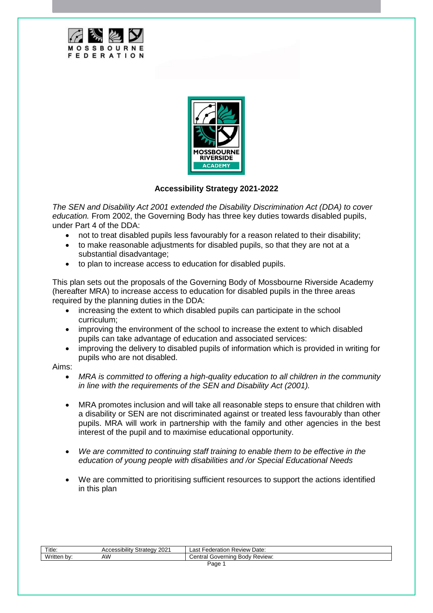



## **Accessibility Strategy 2021-2022**

*The SEN and Disability Act 2001 extended the Disability Discrimination Act (DDA) to cover education.* From 2002, the Governing Body has three key duties towards disabled pupils, under Part 4 of the DDA:

- not to treat disabled pupils less favourably for a reason related to their disability;
- to make reasonable adjustments for disabled pupils, so that they are not at a substantial disadvantage;
- to plan to increase access to education for disabled pupils.

This plan sets out the proposals of the Governing Body of Mossbourne Riverside Academy (hereafter MRA) to increase access to education for disabled pupils in the three areas required by the planning duties in the DDA:

- increasing the extent to which disabled pupils can participate in the school curriculum;
- improving the environment of the school to increase the extent to which disabled pupils can take advantage of education and associated services:
- improving the delivery to disabled pupils of information which is provided in writing for pupils who are not disabled.

## Aims:

- *MRA is committed to offering a high-quality education to all children in the community in line with the requirements of the SEN and Disability Act (2001).*
- MRA promotes inclusion and will take all reasonable steps to ensure that children with a disability or SEN are not discriminated against or treated less favourably than other pupils. MRA will work in partnership with the family and other agencies in the best interest of the pupil and to maximise educational opportunity.
- *We are committed to continuing staff training to enable them to be effective in the education of young people with disabilities and /or Special Educational Needs*
- We are committed to prioritising sufficient resources to support the actions identified in this plan

| Title.          | 2021<br>Strategy<br>Accessibility | Federation Review Date:<br>∟as†   |
|-----------------|-----------------------------------|-----------------------------------|
| Written.<br>bv: | AW                                | Review:<br>Central Governing Body |
| Page            |                                   |                                   |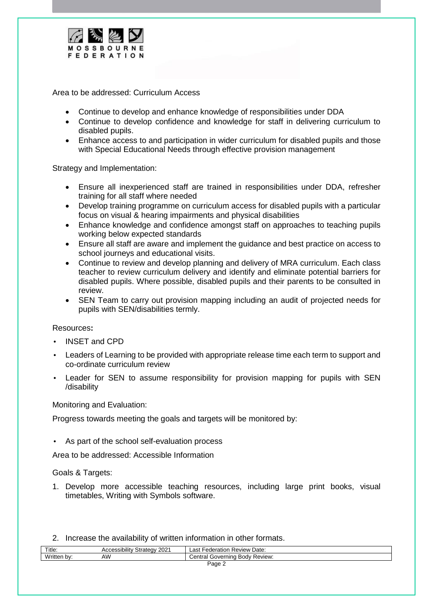

Area to be addressed: Curriculum Access

- Continue to develop and enhance knowledge of responsibilities under DDA
- Continue to develop confidence and knowledge for staff in delivering curriculum to disabled pupils.
- Enhance access to and participation in wider curriculum for disabled pupils and those with Special Educational Needs through effective provision management

Strategy and Implementation:

- Ensure all inexperienced staff are trained in responsibilities under DDA, refresher training for all staff where needed
- Develop training programme on curriculum access for disabled pupils with a particular focus on visual & hearing impairments and physical disabilities
- Enhance knowledge and confidence amongst staff on approaches to teaching pupils working below expected standards
- Ensure all staff are aware and implement the guidance and best practice on access to school journeys and educational visits.
- Continue to review and develop planning and delivery of MRA curriculum. Each class teacher to review curriculum delivery and identify and eliminate potential barriers for disabled pupils. Where possible, disabled pupils and their parents to be consulted in review.
- SEN Team to carry out provision mapping including an audit of projected needs for pupils with SEN/disabilities termly.

Resources**:**

- INSET and CPD
- Leaders of Learning to be provided with appropriate release time each term to support and co-ordinate curriculum review
- Leader for SEN to assume responsibility for provision mapping for pupils with SEN /disability

Monitoring and Evaluation:

Progress towards meeting the goals and targets will be monitored by:

As part of the school self-evaluation process

Area to be addressed: Accessible Information

Goals & Targets:

- 1. Develop more accessible teaching resources, including large print books, visual timetables, Writing with Symbols software.
- 2. Increase the availability of written information in other formats.

| Title.           | י ההה<br><br>strategy<br>Accessibility<br>ZUZ | Date:<br>Federation Ł<br>Review<br>∟ast ∶    |
|------------------|-----------------------------------------------|----------------------------------------------|
| Written<br>. bv: | AW                                            | Review:<br>Governing<br>Body F<br>′ entralد. |
| Page             |                                               |                                              |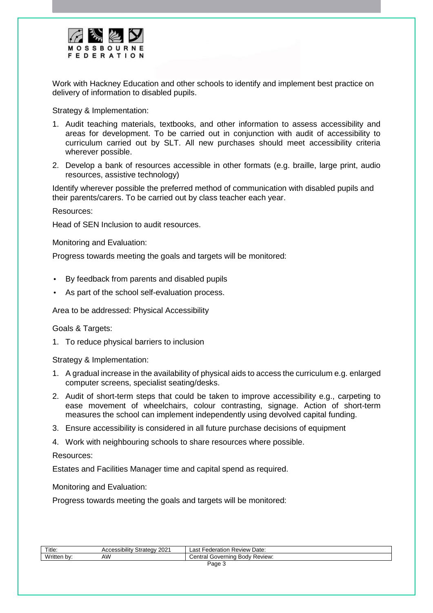

Work with Hackney Education and other schools to identify and implement best practice on delivery of information to disabled pupils.

Strategy & Implementation:

- 1. Audit teaching materials, textbooks, and other information to assess accessibility and areas for development. To be carried out in conjunction with audit of accessibility to curriculum carried out by SLT. All new purchases should meet accessibility criteria wherever possible.
- 2. Develop a bank of resources accessible in other formats (e.g. braille, large print, audio resources, assistive technology)

Identify wherever possible the preferred method of communication with disabled pupils and their parents/carers. To be carried out by class teacher each year.

Resources:

Head of SEN Inclusion to audit resources.

Monitoring and Evaluation:

Progress towards meeting the goals and targets will be monitored:

- By feedback from parents and disabled pupils
- As part of the school self-evaluation process.

Area to be addressed: Physical Accessibility

## Goals & Targets:

1. To reduce physical barriers to inclusion

Strategy & Implementation:

- 1. A gradual increase in the availability of physical aids to access the curriculum e.g. enlarged computer screens, specialist seating/desks.
- 2. Audit of short-term steps that could be taken to improve accessibility e.g., carpeting to ease movement of wheelchairs, colour contrasting, signage. Action of short-term measures the school can implement independently using devolved capital funding.
- 3. Ensure accessibility is considered in all future purchase decisions of equipment
- 4. Work with neighbouring schools to share resources where possible.

## Resources:

Estates and Facilities Manager time and capital spend as required.

Monitoring and Evaluation:

Progress towards meeting the goals and targets will be monitored:

| Title:             | 2021<br>$\cdots$<br>ำ†∩∩\<br>Accessibilitv<br>Strated | Review Date:<br>-ederation<br>∟ast                      |
|--------------------|-------------------------------------------------------|---------------------------------------------------------|
| Writte.<br>. n $V$ | AW                                                    | <b>Body</b><br>Review.<br>`ontrol<br>doverning '<br>шаг |
| Page               |                                                       |                                                         |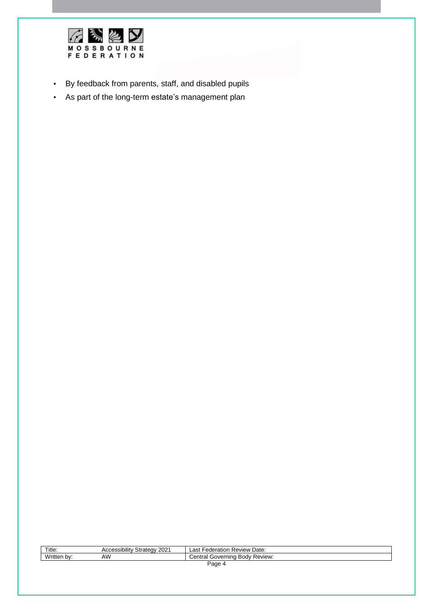

- By feedback from parents, staff, and disabled pupils
- As part of the long-term estate's management plan

| Title:      | <b>Accessibility Strategy 2021</b> | : Federation Review Date:<br>_ast |
|-------------|------------------------------------|-----------------------------------|
| Written by: | ۹W                                 | Central Governing Body Review:    |
| Page        |                                    |                                   |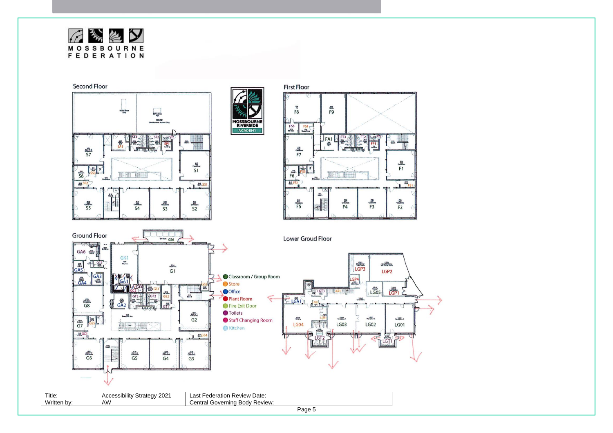



| Title.                   | .<br>200 <sub>0</sub><br>cessibilit<br>' strategyٽ<br>ZUZ<br>ᆪ | Date:<br>$\sim$<br>ederation<br>eview<br>ĸe<br>--              |
|--------------------------|----------------------------------------------------------------|----------------------------------------------------------------|
| .<br>ritter<br><b>DV</b> | ΔW.<br>w                                                       | <b>Review</b><br>∍יו∩ הי<br>`entra∟<br>$100$ verninc<br>וו זרו |